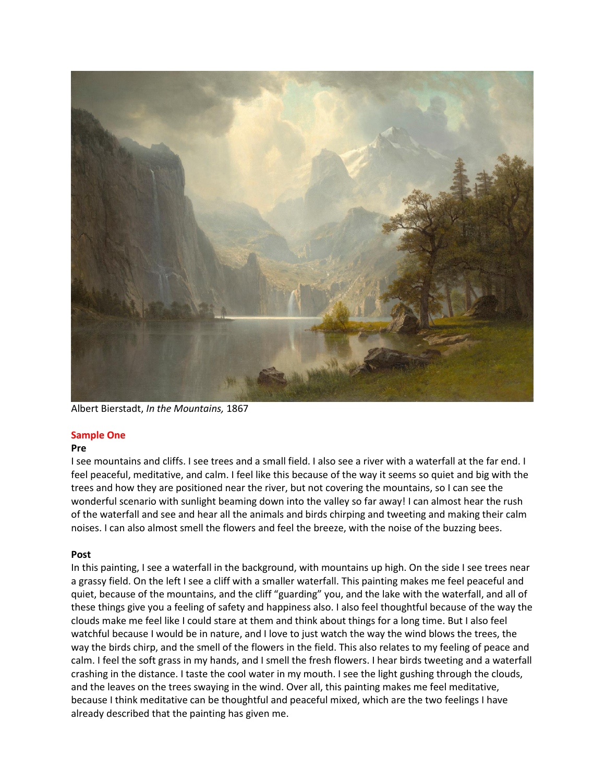

Albert Bierstadt, *In the Mountains,* 1867

# **Sample One**

## **Pre**

I see mountains and cliffs. I see trees and a small field. I also see a river with a waterfall at the far end. I feel peaceful, meditative, and calm. I feel like this because of the way it seems so quiet and big with the trees and how they are positioned near the river, but not covering the mountains, so I can see the wonderful scenario with sunlight beaming down into the valley so far away! I can almost hear the rush of the waterfall and see and hear all the animals and birds chirping and tweeting and making their calm noises. I can also almost smell the flowers and feel the breeze, with the noise of the buzzing bees.

# **Post**

In this painting, I see a waterfall in the background, with mountains up high. On the side I see trees near a grassy field. On the left I see a cliff with a smaller waterfall. This painting makes me feel peaceful and quiet, because of the mountains, and the cliff "guarding" you, and the lake with the waterfall, and all of these things give you a feeling of safety and happiness also. I also feel thoughtful because of the way the clouds make me feel like I could stare at them and think about things for a long time. But I also feel watchful because I would be in nature, and I love to just watch the way the wind blows the trees, the way the birds chirp, and the smell of the flowers in the field. This also relates to my feeling of peace and calm. I feel the soft grass in my hands, and I smell the fresh flowers. I hear birds tweeting and a waterfall crashing in the distance. I taste the cool water in my mouth. I see the light gushing through the clouds, and the leaves on the trees swaying in the wind. Over all, this painting makes me feel meditative, because I think meditative can be thoughtful and peaceful mixed, which are the two feelings I have already described that the painting has given me.